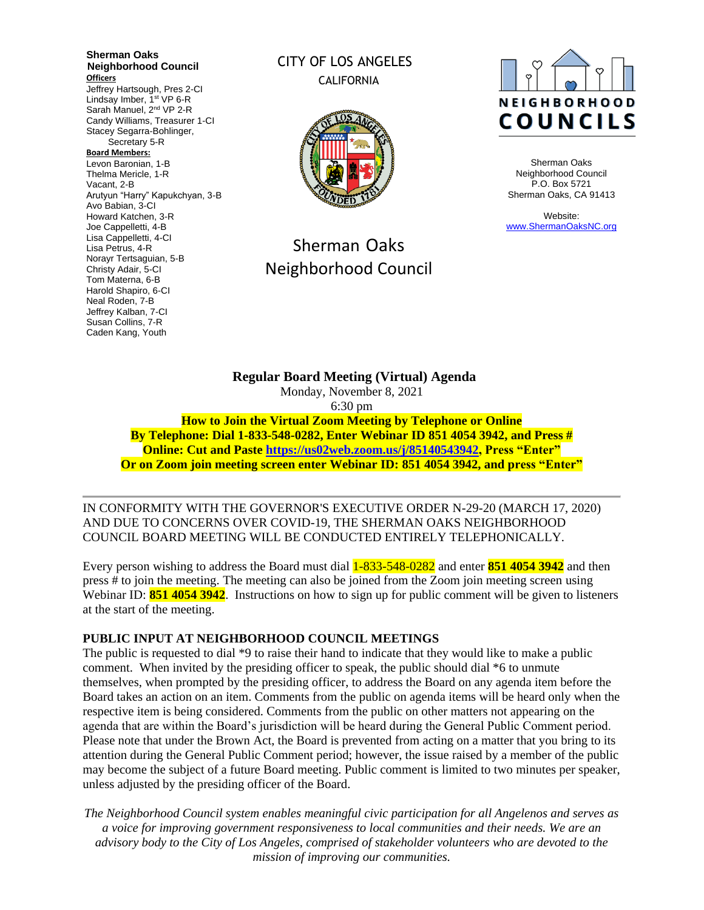**Sherman Oaks Neighborhood Council Officers** Jeffrey Hartsough, Pres 2-CI Lindsay Imber, 1<sup>st</sup> VP 6-R Sarah Manuel, 2<sup>nd</sup> VP 2-R Candy Williams, Treasurer 1-CI Stacey Segarra-Bohlinger, Secretary 5-R **Board Members:** Levon Baronian, 1-B Thelma Mericle, 1-R Vacant, 2-B Arutyun "Harry" Kapukchyan, 3-B Avo Babian, 3-CI Howard Katchen, 3-R Joe Cappelletti, 4-B Lisa Cappelletti, 4-CI Lisa Petrus, 4-R Norayr Tertsaguian, 5-B Christy Adair, 5-CI Tom Materna, 6-B Harold Shapiro, 6-CI Neal Roden, 7-B Jeffrey Kalban, 7-CI Susan Collins, 7-R Caden Kang, Youth

# CITY OF LOS ANGELES CALIFORNIA



# Sherman Oaks Neighborhood Council



Sherman Oaks Neighborhood Council P.O. Box 5721 Sherman Oaks, CA 91413

Website: [www.ShermanOaksNC.org](http://www.shermanoaksnc.org/)

**Regular Board Meeting (Virtual) Agenda**  Monday, November 8, 2021 6:30 pm **How to Join the Virtual Zoom Meeting by Telephone or Online By Telephone: Dial 1-833-548-0282, Enter Webinar ID 851 4054 3942, and Press # Online: Cut and Paste [https://us02web.zoom.us/j/85140543942,](https://us02web.zoom.us/j/85140543942) Press "Enter" Or on Zoom join meeting screen enter Webinar ID: 851 4054 3942, and press "Enter"**

IN CONFORMITY WITH THE GOVERNOR'S EXECUTIVE ORDER N-29-20 (MARCH 17, 2020) AND DUE TO CONCERNS OVER COVID-19, THE SHERMAN OAKS NEIGHBORHOOD COUNCIL BOARD MEETING WILL BE CONDUCTED ENTIRELY TELEPHONICALLY.

Every person wishing to address the Board must dial 1-833-548-0282 and enter **851 4054 3942** and then press # to join the meeting. The meeting can also be joined from the Zoom join meeting screen using Webinar ID: **851 4054 3942**. Instructions on how to sign up for public comment will be given to listeners at the start of the meeting.

#### **PUBLIC INPUT AT NEIGHBORHOOD COUNCIL MEETINGS**

The public is requested to dial \*9 to raise their hand to indicate that they would like to make a public comment. When invited by the presiding officer to speak, the public should dial \*6 to unmute themselves, when prompted by the presiding officer, to address the Board on any agenda item before the Board takes an action on an item. Comments from the public on agenda items will be heard only when the respective item is being considered. Comments from the public on other matters not appearing on the agenda that are within the Board's jurisdiction will be heard during the General Public Comment period. Please note that under the Brown Act, the Board is prevented from acting on a matter that you bring to its attention during the General Public Comment period; however, the issue raised by a member of the public may become the subject of a future Board meeting. Public comment is limited to two minutes per speaker, unless adjusted by the presiding officer of the Board.

*The Neighborhood Council system enables meaningful civic participation for all Angelenos and serves as a voice for improving government responsiveness to local communities and their needs. We are an advisory body to the City of Los Angeles, comprised of stakeholder volunteers who are devoted to the mission of improving our communities.*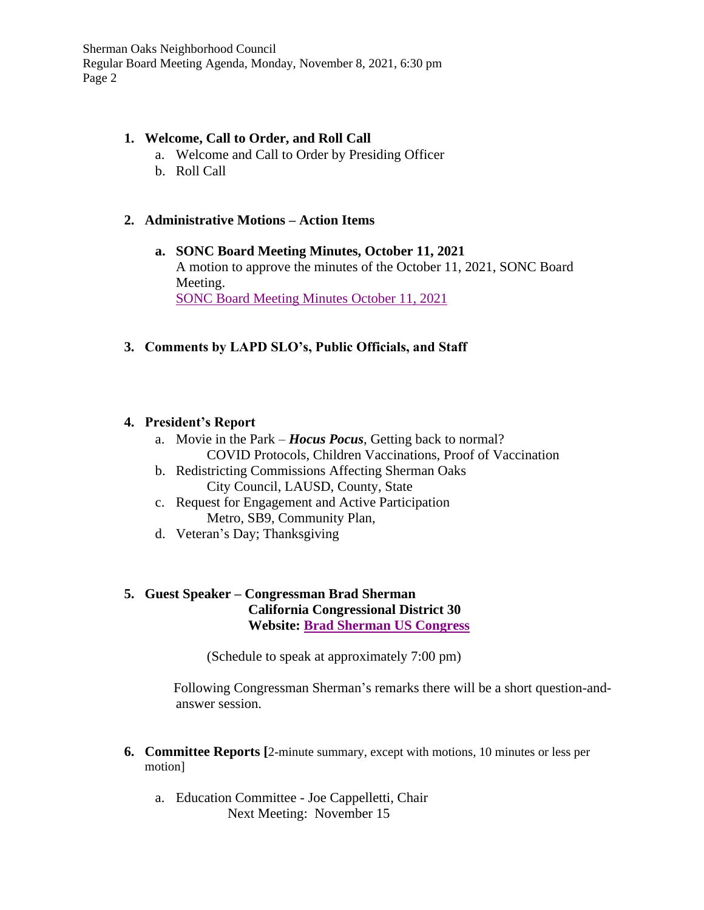## **1. Welcome, Call to Order, and Roll Call**

- a. Welcome and Call to Order by Presiding Officer
- b. Roll Call

# **2. Administrative Motions – Action Items**

- **a. SONC Board Meeting Minutes, October 11, 2021** A motion to approve the minutes of the October 11, 2021, SONC Board Meeting. [SONC Board Meeting Minutes October 11, 2021](https://www.shermanoaksnc.org/ncfiles/viewCommitteeFile/25724)
- **3. Comments by LAPD SLO's, Public Officials, and Staff**

## **4. President's Report**

- a. Movie in the Park *Hocus Pocus*, Getting back to normal? COVID Protocols, Children Vaccinations, Proof of Vaccination
- b. Redistricting Commissions Affecting Sherman Oaks City Council, LAUSD, County, State
- c. Request for Engagement and Active Participation Metro, SB9, Community Plan,
- d. Veteran's Day; Thanksgiving

# **5. Guest Speaker – Congressman Brad Sherman California Congressional District 30 Website: [Brad Sherman US Congress](https://sherman.house.gov/)**

(Schedule to speak at approximately 7:00 pm)

Following Congressman Sherman's remarks there will be a short question-andanswer session.

- **6. Committee Reports [**2-minute summary, except with motions, 10 minutes or less per motion]
	- a. Education Committee Joe Cappelletti, Chair Next Meeting: November 15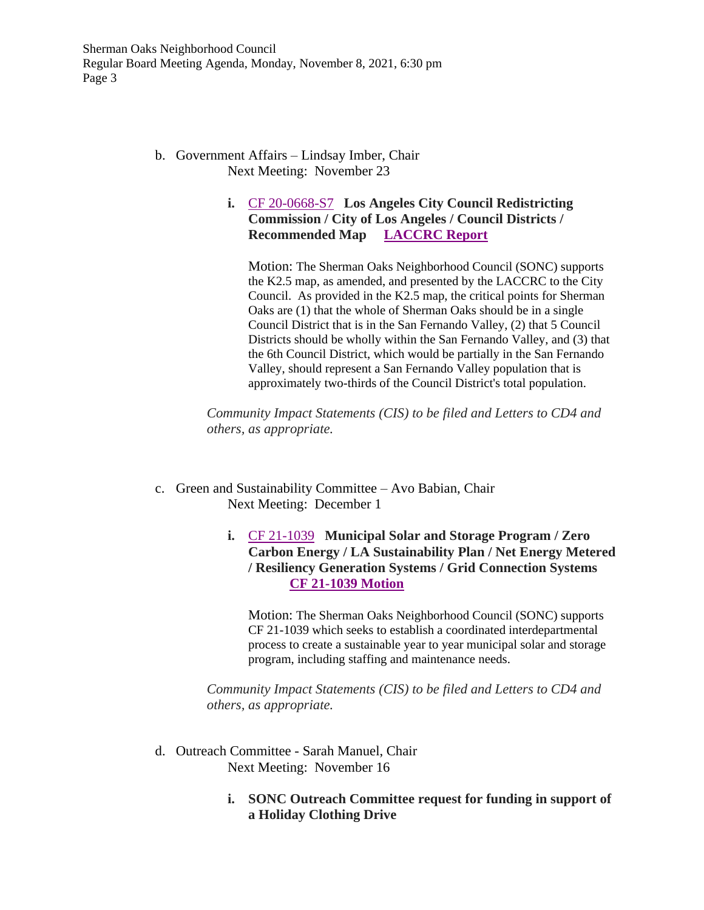### b. Government Affairs – Lindsay Imber, Chair Next Meeting: November 23

# **i.** [CF 20-0668-S7](https://cityclerk.lacity.org/lacityclerkconnect/index.cfm?fa=ccfi.viewrecord&cfnumber=20-0668-S7) **Los Angeles City Council Redistricting Commission / City of Los Angeles / Council Districts / Recommended Map [LACCRC Report](https://clkrep.lacity.org/onlinedocs/2020/20-0668-S7_misc_10-29-21.pdf)**

Motion: The Sherman Oaks Neighborhood Council (SONC) supports the K2.5 map, as amended, and presented by the LACCRC to the City Council. As provided in the K2.5 map, the critical points for Sherman Oaks are (1) that the whole of Sherman Oaks should be in a single Council District that is in the San Fernando Valley, (2) that 5 Council Districts should be wholly within the San Fernando Valley, and (3) that the 6th Council District, which would be partially in the San Fernando Valley, should represent a San Fernando Valley population that is approximately two-thirds of the Council District's total population.

*Community Impact Statements (CIS) to be filed and Letters to CD4 and others, as appropriate.*

- c. Green and Sustainability Committee Avo Babian, Chair Next Meeting: December 1
	- **i.** [CF 21-1039](https://cityclerk.lacity.org/lacityclerkconnect/index.cfm?fa=ccfi.viewrecord&cfnumber=21-1039) **Municipal Solar and Storage Program / Zero Carbon Energy / LA Sustainability Plan / Net Energy Metered / Resiliency Generation Systems / Grid Connection Systems [CF 21-1039 Motion](https://clkrep.lacity.org/onlinedocs/2021/21-1039_misc_9-21-21.pdf)**

Motion: The Sherman Oaks Neighborhood Council (SONC) supports CF 21-1039 which seeks to establish a coordinated interdepartmental process to create a sustainable year to year municipal solar and storage program, including staffing and maintenance needs.

*Community Impact Statements (CIS) to be filed and Letters to CD4 and others, as appropriate.*

- d. Outreach Committee Sarah Manuel, Chair Next Meeting: November 16
	- **i. SONC Outreach Committee request for funding in support of a Holiday Clothing Drive**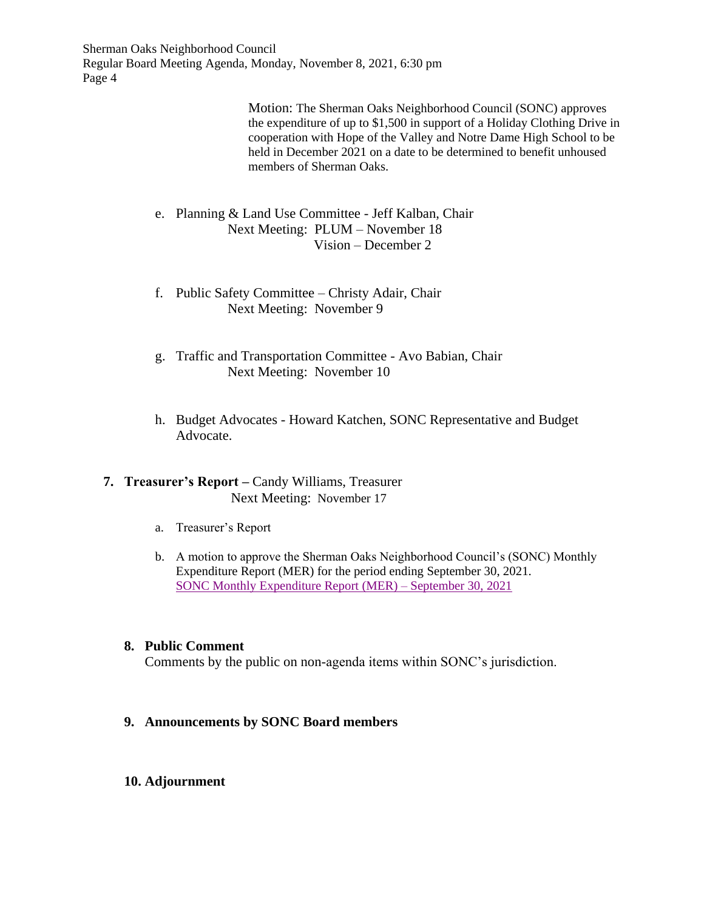> Motion: The Sherman Oaks Neighborhood Council (SONC) approves the expenditure of up to \$1,500 in support of a Holiday Clothing Drive in cooperation with Hope of the Valley and Notre Dame High School to be held in December 2021 on a date to be determined to benefit unhoused members of Sherman Oaks.

- e. Planning & Land Use Committee Jeff Kalban, Chair Next Meeting: PLUM – November 18 Vision – December 2
- f. Public Safety Committee Christy Adair, Chair Next Meeting: November 9
- g. Traffic and Transportation Committee Avo Babian, Chair Next Meeting: November 10
- h. Budget Advocates Howard Katchen, SONC Representative and Budget Advocate.

# **7. Treasurer's Report –** Candy Williams, Treasurer **Next Meeting: November 17**

- a. Treasurer's Report
- b. A motion to approve the Sherman Oaks Neighborhood Council's (SONC) Monthly Expenditure Report (MER) for the period ending September 30, 2021. [SONC Monthly Expenditure Report](https://www.shermanoaksnc.org/ncfiles/viewCommitteeFile/25726) (MER) – September 30, 2021

## **8. Public Comment**

Comments by the public on non-agenda items within SONC's jurisdiction.

- **9. Announcements by SONC Board members**
- **10. Adjournment**